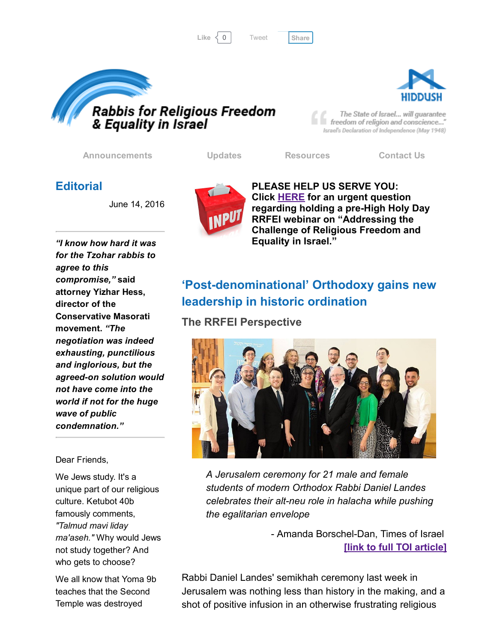





The State of Israel... will guarantee freedom of religion and conscience..." Israel's Declaration of Independence (May 1948)

[Announcements](http://rrfei.org/announcements/) [Updates](http://rrfei.org/about/rrfei-updates/) [Resources](http://rrfei.org/resources/) [Contact](http://rrfei.org/contact-us/) Us

## **Editorial**

June 14, 2016



Dear Friends,

We Jews study. It's a unique part of our religious culture. Ketubot 40b famously comments, *"Talmud mavi liday ma'aseh."* Why would Jews not study together? And who gets to choose?

We all know that Yoma 9b teaches that the Second Temple was destroyed



PLEASE HELP US SERVE YOU: Click [HERE](http://rrfei.org/please-help-us-serve-you/) for an urgent question regarding holding a pre-High Holy Day RRFEI webinar on "Addressing the Challenge of Religious Freedom and Equality in Israel."

# 'Post-denominational' Orthodoxy gains new leadership in historic ordination

The RRFEI Perspective



*A Jerusalem ceremony for 21 male and female students of modern Orthodox Rabbi Daniel Landes celebrates their altneu role in halacha while pushing the egalitarian envelope*

> - Amanda Borschel-Dan, Times of Israel [link to full TOI [article\]](http://www.timesofisrael.com/post-denominational-orthodoxy-gains-new-leadership-in-historic-ordination/)

Rabbi Daniel Landes' semikhah ceremony last week in Jerusalem was nothing less than history in the making, and a shot of positive infusion in an otherwise frustrating religious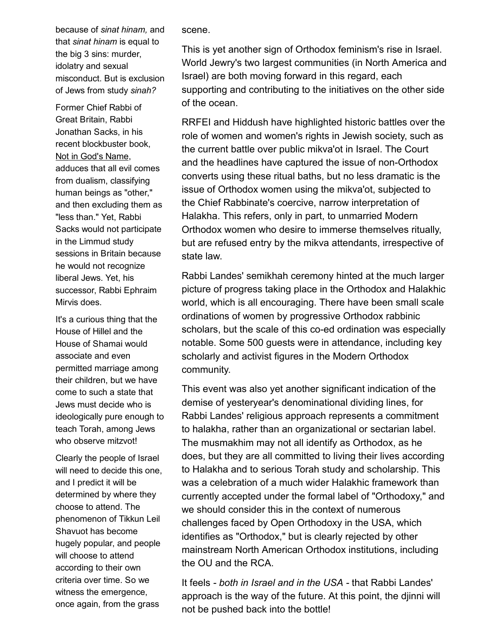because of *sinat hinam,* and that *sinat hinam* is equal to the big 3 sins: murder, idolatry and sexual misconduct. But is exclusion of Jews from study *sinah?*

Former Chief Rabbi of Great Britain, Rabbi Jonathan Sacks, in his recent blockbuster book, Not in God's Name, adduces that all evil comes from dualism, classifying human beings as "other," and then excluding them as "less than." Yet, Rabbi Sacks would not participate in the Limmud study sessions in Britain because he would not recognize liberal Jews. Yet, his successor, Rabbi Ephraim Mirvis does.

It's a curious thing that the House of Hillel and the House of Shamai would associate and even permitted marriage among their children, but we have come to such a state that Jews must decide who is ideologically pure enough to teach Torah, among Jews who observe mitzvot!

Clearly the people of Israel will need to decide this one, and I predict it will be determined by where they choose to attend. The phenomenon of Tikkun Leil Shavuot has become hugely popular, and people will choose to attend according to their own criteria over time. So we witness the emergence, once again, from the grass

scene.

This is yet another sign of Orthodox feminism's rise in Israel. World Jewry's two largest communities (in North America and Israel) are both moving forward in this regard, each supporting and contributing to the initiatives on the other side of the ocean.

RRFEI and Hiddush have highlighted historic battles over the role of women and women's rights in Jewish society, such as the current battle over public mikva'ot in Israel. The Court and the headlines have captured the issue of non-Orthodox converts using these ritual baths, but no less dramatic is the issue of Orthodox women using the mikva'ot, subjected to the Chief Rabbinate's coercive, narrow interpretation of Halakha. This refers, only in part, to unmarried Modern Orthodox women who desire to immerse themselves ritually, but are refused entry by the mikva attendants, irrespective of state law.

Rabbi Landes' semikhah ceremony hinted at the much larger picture of progress taking place in the Orthodox and Halakhic world, which is all encouraging. There have been small scale ordinations of women by progressive Orthodox rabbinic scholars, but the scale of this co-ed ordination was especially notable. Some 500 guests were in attendance, including key scholarly and activist figures in the Modern Orthodox community.

This event was also yet another significant indication of the demise of yesteryear's denominational dividing lines, for Rabbi Landes' religious approach represents a commitment to halakha, rather than an organizational or sectarian label. The musmakhim may not all identify as Orthodox, as he does, but they are all committed to living their lives according to Halakha and to serious Torah study and scholarship. This was a celebration of a much wider Halakhic framework than currently accepted under the formal label of "Orthodoxy," and we should consider this in the context of numerous challenges faced by Open Orthodoxy in the USA, which identifies as "Orthodox," but is clearly rejected by other mainstream North American Orthodox institutions, including the OU and the RCA.

It feels *both in Israel and in the USA* that Rabbi Landes' approach is the way of the future. At this point, the djinni will not be pushed back into the bottle!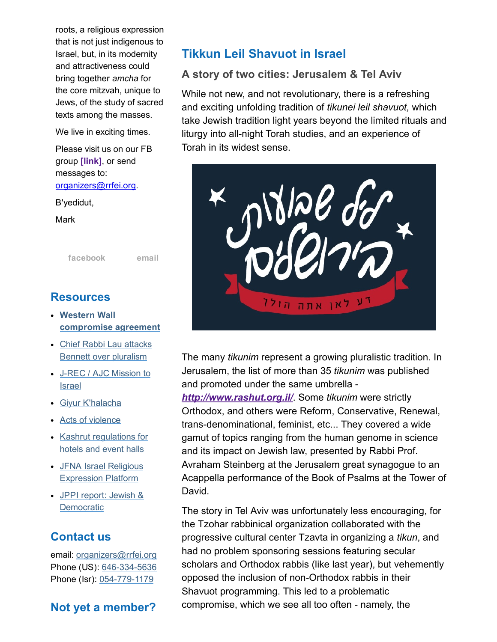roots, a religious expression that is not just indigenous to Israel, but, in its modernity and attractiveness could bring together *amcha* for the core mitzvah, unique to Jews, of the study of sacred texts among the masses.

We live in exciting times.

Please visit us on our FB group [\[link\],](https://www.facebook.com/groups/132239560451232/) or send messages to: [organizers@rrfei.org.](mailto:organizers@rrfei.org)

B'yedidut,

**Mark** 

[facebook](https://www.facebook.com/groups/132239560451232/) [email](mailto:organizers@rrfei.org)

### Resources

- Western Wall [compromise](http://rrfei.org/resources/western-wall-agreement-2016/) agreement
- Chief Rabbi Lau attacks Bennett over [pluralism](http://rrfei.org/resources/chief-rabbi-lau-slams-minister-bennett-winter-2015/)
- J-REC / AJC [Mission](http://rrfei.org/resources/ajc-j-rec-mission-to-israel-winter-2015/) to Israel
- Giyur [K'halacha](http://rrfei.org/resources/giyur-khalacha-summer-2015/)
- Acts of [violence](http://rrfei.org/resources/acts-of-violence-summer-2015/)
- Kashrut [regulations](http://rrfei.org/resources/kashrut-regulations-for-hotels-spring-2015/) for hotels and event halls
- JFNA Israel Religious [Expression](http://rrfei.org/resources/jfna-irep-initiative-approved-summer-2014/) Platform
- JPPI report: Jewish & **[Democratic](http://rrfei.org/resources/jppi-jewish-and-democratic-perspectives-from-world-jewry-2014/)**

### Contact us

email: [organizers@rrfei.org](mailto:organizers@rrfei.org) Phone (US): 646-334-5636 Phone (Isr): 054-779-1179

### Not yet a member?

# Tikkun Leil Shavuot in Israel

#### A story of two cities: Jerusalem & Tel Aviv

While not new, and not revolutionary, there is a refreshing and exciting unfolding tradition of *tikunei leil shavuot,* which take Jewish tradition light years beyond the limited rituals and liturgy into all-night Torah studies, and an experience of Torah in its widest sense.



The many *tikunim* represent a growing pluralistic tradition. In Jerusalem, the list of more than 35 *tikunim* was published and promoted under the same umbrella

*<http://www.rashut.org.il/>*. Some *tikunim* were strictly Orthodox, and others were Reform, Conservative, Renewal, trans-denominational, feminist, etc... They covered a wide gamut of topics ranging from the human genome in science and its impact on Jewish law, presented by Rabbi Prof. Avraham Steinberg at the Jerusalem great synagogue to an Acappella performance of the Book of Psalms at the Tower of David.

The story in Tel Aviv was unfortunately less encouraging, for the Tzohar rabbinical organization collaborated with the progressive cultural center Tzavta in organizing a *tikun*, and had no problem sponsoring sessions featuring secular scholars and Orthodox rabbis (like last year), but vehemently opposed the inclusion of non-Orthodox rabbis in their Shavuot programming. This led to a problematic compromise, which we see all too often - namely, the